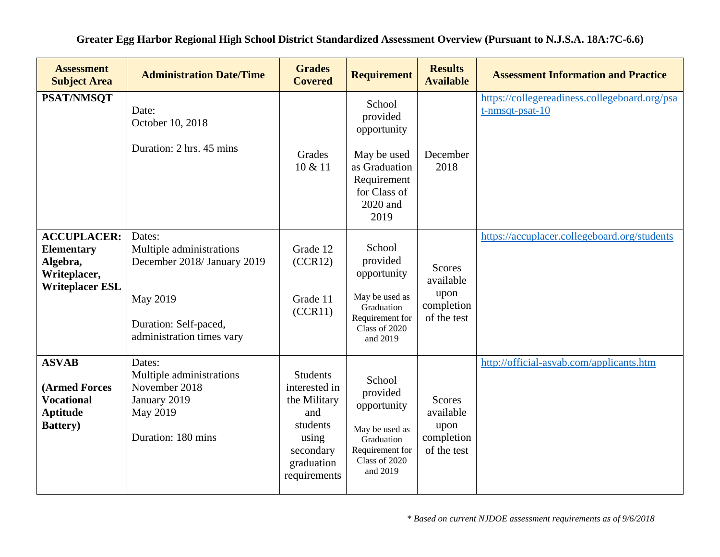| <b>Assessment</b><br><b>Subject Area</b>                                                         | <b>Administration Date/Time</b>                                                                                                     | <b>Grades</b><br><b>Covered</b>                                                                                         | <b>Requirement</b>                                                                                                   | <b>Results</b><br><b>Available</b>                              | <b>Assessment Information and Practice</b>                          |
|--------------------------------------------------------------------------------------------------|-------------------------------------------------------------------------------------------------------------------------------------|-------------------------------------------------------------------------------------------------------------------------|----------------------------------------------------------------------------------------------------------------------|-----------------------------------------------------------------|---------------------------------------------------------------------|
| <b>PSAT/NMSQT</b>                                                                                | Date:<br>October 10, 2018<br>Duration: 2 hrs. 45 mins                                                                               | Grades<br>10 & 11                                                                                                       | School<br>provided<br>opportunity<br>May be used<br>as Graduation<br>Requirement<br>for Class of<br>2020 and<br>2019 | December<br>2018                                                | https://collegereadiness.collegeboard.org/psa<br>$t$ -nmsqt-psat-10 |
| <b>ACCUPLACER:</b><br><b>Elementary</b><br>Algebra,<br>Writeplacer,<br><b>Writeplacer ESL</b>    | Dates:<br>Multiple administrations<br>December 2018/ January 2019<br>May 2019<br>Duration: Self-paced,<br>administration times vary | Grade 12<br>(CCR12)<br>Grade 11<br>(CCR11)                                                                              | School<br>provided<br>opportunity<br>May be used as<br>Graduation<br>Requirement for<br>Class of 2020<br>and 2019    | <b>Scores</b><br>available<br>upon<br>completion<br>of the test | https://accuplacer.collegeboard.org/students                        |
| <b>ASVAB</b><br><b>(Armed Forces</b><br><b>Vocational</b><br><b>Aptitude</b><br><b>Battery</b> ) | Dates:<br>Multiple administrations<br>November 2018<br>January 2019<br>May 2019<br>Duration: 180 mins                               | <b>Students</b><br>interested in<br>the Military<br>and<br>students<br>using<br>secondary<br>graduation<br>requirements | School<br>provided<br>opportunity<br>May be used as<br>Graduation<br>Requirement for<br>Class of 2020<br>and 2019    | <b>Scores</b><br>available<br>upon<br>completion<br>of the test | http://official-asvab.com/applicants.htm                            |

**Greater Egg Harbor Regional High School District Standardized Assessment Overview (Pursuant to N.J.S.A. 18A:7C-6.6)**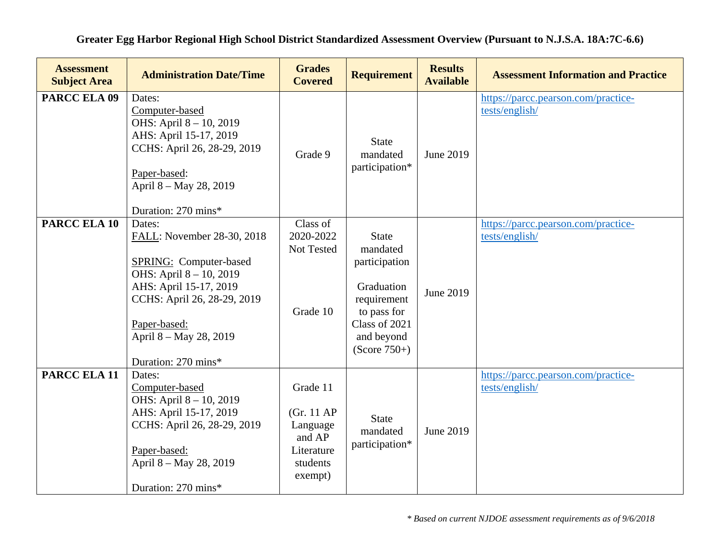| <b>Assessment</b><br><b>Subject Area</b> | <b>Administration Date/Time</b>                                                                                                                                                                                     | <b>Grades</b><br><b>Covered</b>                                                    | <b>Requirement</b>                                                                                                                     | <b>Results</b><br><b>Available</b> | <b>Assessment Information and Practice</b>            |
|------------------------------------------|---------------------------------------------------------------------------------------------------------------------------------------------------------------------------------------------------------------------|------------------------------------------------------------------------------------|----------------------------------------------------------------------------------------------------------------------------------------|------------------------------------|-------------------------------------------------------|
| PARCC ELA 09                             | Dates:<br>Computer-based<br>OHS: April 8 - 10, 2019<br>AHS: April 15-17, 2019<br>CCHS: April 26, 28-29, 2019<br>Paper-based:<br>April 8 - May 28, 2019<br>Duration: 270 mins*                                       | Grade 9                                                                            | <b>State</b><br>mandated<br>participation*                                                                                             | June 2019                          | https://parcc.pearson.com/practice-<br>tests/english/ |
| <b>PARCC ELA 10</b>                      | Dates:<br>FALL: November 28-30, 2018<br>SPRING: Computer-based<br>OHS: April 8 - 10, 2019<br>AHS: April 15-17, 2019<br>CCHS: April 26, 28-29, 2019<br>Paper-based:<br>April 8 - May 28, 2019<br>Duration: 270 mins* | Class of<br>2020-2022<br>Not Tested<br>Grade 10                                    | <b>State</b><br>mandated<br>participation<br>Graduation<br>requirement<br>to pass for<br>Class of 2021<br>and beyond<br>$(Score 750+)$ | June 2019                          | https://parcc.pearson.com/practice-<br>tests/english/ |
| PARCC ELA 11                             | Dates:<br>Computer-based<br>OHS: April 8 - 10, 2019<br>AHS: April 15-17, 2019<br>CCHS: April 26, 28-29, 2019<br>Paper-based:<br>April 8 - May 28, 2019<br>Duration: 270 mins*                                       | Grade 11<br>(Gr. 11 AP)<br>Language<br>and AP<br>Literature<br>students<br>exempt) | <b>State</b><br>mandated<br>participation*                                                                                             | June 2019                          | https://parcc.pearson.com/practice-<br>tests/english/ |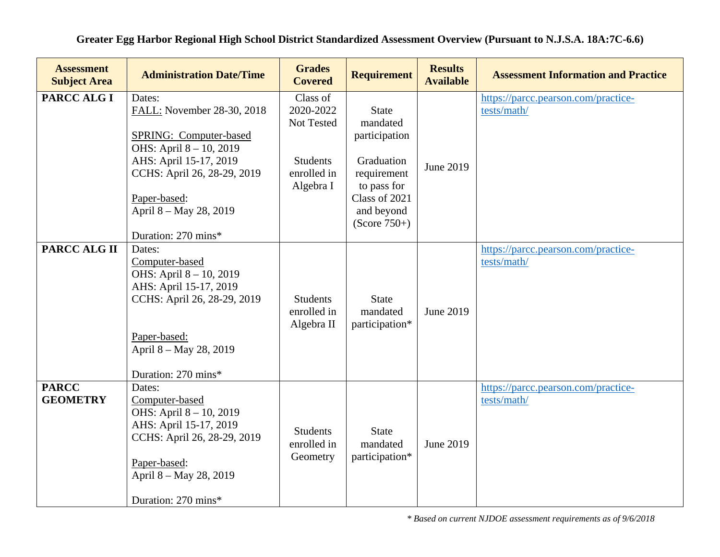| <b>Assessment</b><br><b>Subject Area</b> | <b>Administration Date/Time</b>                                                                                                                                                                                            | <b>Grades</b><br><b>Covered</b>                                                    | <b>Requirement</b>                                                                                                                     | <b>Results</b><br><b>Available</b> | <b>Assessment Information and Practice</b>         |
|------------------------------------------|----------------------------------------------------------------------------------------------------------------------------------------------------------------------------------------------------------------------------|------------------------------------------------------------------------------------|----------------------------------------------------------------------------------------------------------------------------------------|------------------------------------|----------------------------------------------------|
| PARCC ALG I                              | Dates:<br>FALL: November 28-30, 2018<br><b>SPRING: Computer-based</b><br>OHS: April 8 - 10, 2019<br>AHS: April 15-17, 2019<br>CCHS: April 26, 28-29, 2019<br>Paper-based:<br>April 8 – May 28, 2019<br>Duration: 270 mins* | Class of<br>2020-2022<br>Not Tested<br><b>Students</b><br>enrolled in<br>Algebra I | <b>State</b><br>mandated<br>participation<br>Graduation<br>requirement<br>to pass for<br>Class of 2021<br>and beyond<br>$(Score 750+)$ | June 2019                          | https://parcc.pearson.com/practice-<br>tests/math/ |
| PARCC ALG II                             | Dates:<br>Computer-based<br>OHS: April 8 - 10, 2019<br>AHS: April 15-17, 2019<br>CCHS: April 26, 28-29, 2019<br>Paper-based:<br>April 8 – May 28, 2019<br>Duration: 270 mins*                                              | <b>Students</b><br>enrolled in<br>Algebra II                                       | <b>State</b><br>mandated<br>participation*                                                                                             | June 2019                          | https://parcc.pearson.com/practice-<br>tests/math/ |
| <b>PARCC</b><br><b>GEOMETRY</b>          | Dates:<br>Computer-based<br>OHS: April 8 - 10, 2019<br>AHS: April 15-17, 2019<br>CCHS: April 26, 28-29, 2019<br>Paper-based:<br>April 8 – May 28, 2019<br>Duration: 270 mins*                                              | <b>Students</b><br>enrolled in<br>Geometry                                         | <b>State</b><br>mandated<br>participation*                                                                                             | June 2019                          | https://parcc.pearson.com/practice-<br>tests/math/ |